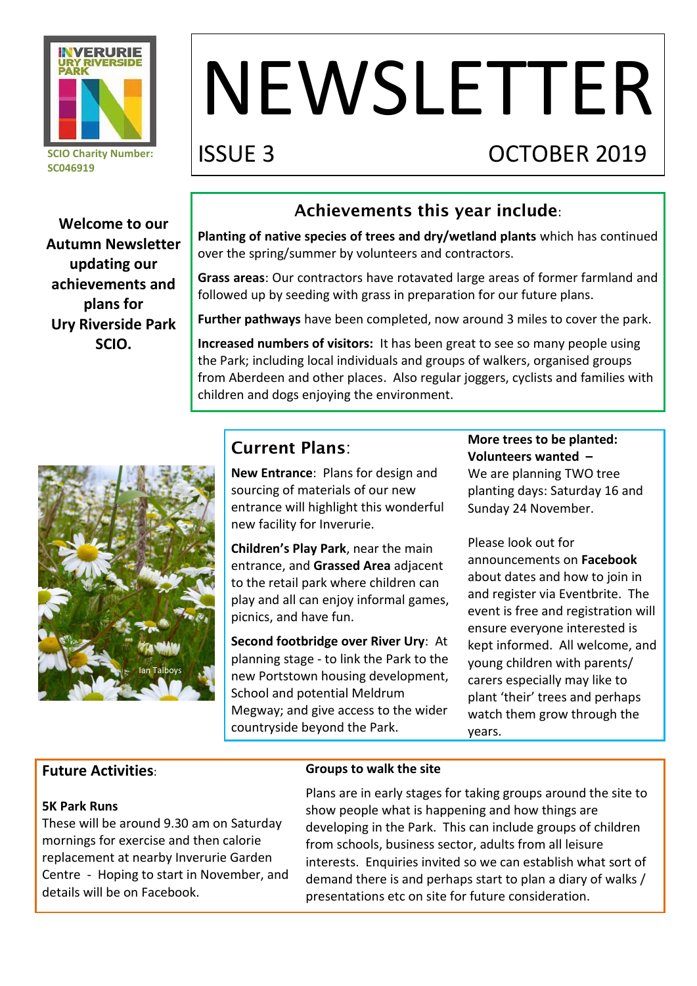

# NEWSLETTER

## ISSUE 3 OCTOBER 2019

**Welcome to our Autumn Newsletter updating our achievements and plans for Ury Riverside Park SCIO.**

## Achievements this year include:

**Planting of native species of trees and dry/wetland plants** which has continued over the spring/summer by volunteers and contractors.

**Grass areas**: Our contractors have rotavated large areas of former farmland and followed up by seeding with grass in preparation for our future plans.

**Further pathways** have been completed, now around 3 miles to cover the park.

**Increased numbers of visitors:** It has been great to see so many people using the Park; including local individuals and groups of walkers, organised groups from Aberdeen and other places. Also regular joggers, cyclists and families with children and dogs enjoying the environment.



## Current Plans:

**New Entrance**: Plans for design and sourcing of materials of our new entrance will highlight this wonderful new facility for Inverurie.

**Children's Play Park**, near the main entrance, and **Grassed Area** adjacent to the retail park where children can play and all can enjoy informal games, picnics, and have fun.

**Second footbridge over River Ury**: At planning stage - to link the Park to the new Portstown housing development, School and potential Meldrum Megway; and give access to the wider countryside beyond the Park.

#### **More trees to be planted: Volunteers wanted –**

We are planning TWO tree planting days: Saturday 16 and Sunday 24 November.

Please look out for announcements on **Facebook** about dates and how to join in and register via Eventbrite. The event is free and registration will ensure everyone interested is kept informed. All welcome, and young children with parents/ carers especially may like to plant 'their' trees and perhaps watch them grow through the years.

#### **Future Activities**:

#### **5K Park Runs**

These will be around 9.30 am on Saturday mornings for exercise and then calorie replacement at nearby Inverurie Garden Centre - Hoping to start in November, and details will be on Facebook.

#### **Groups to walk the site**

Plans are in early stages for taking groups around the site to show people what is happening and how things are developing in the Park. This can include groups of children from schools, business sector, adults from all leisure interests. Enquiries invited so we can establish what sort of demand there is and perhaps start to plan a diary of walks / presentations etc on site for future consideration.